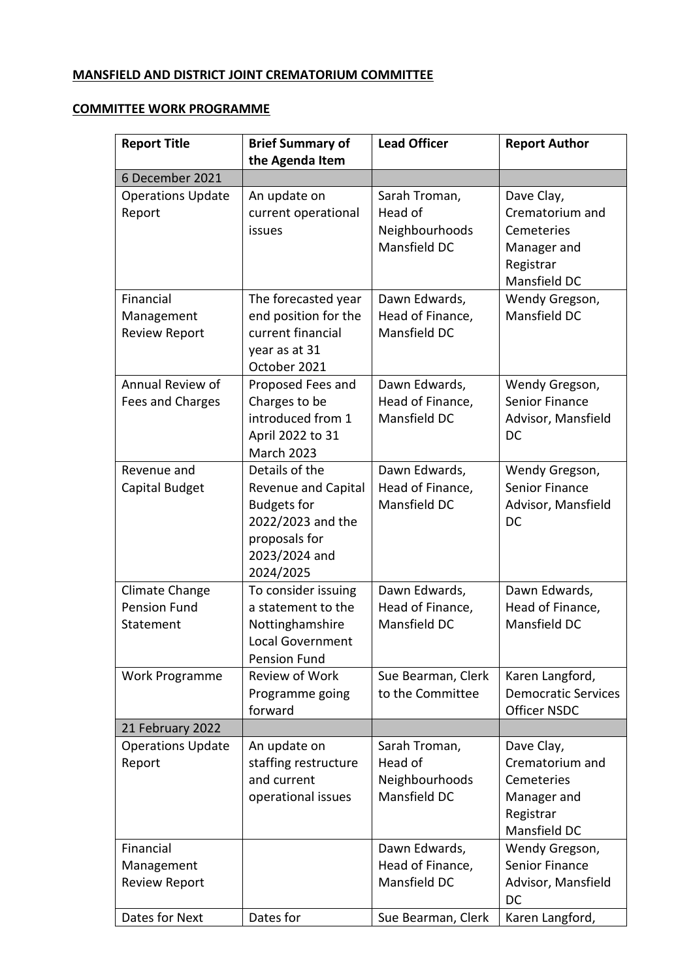## **MANSFIELD AND DISTRICT JOINT CREMATORIUM COMMITTEE**

## **COMMITTEE WORK PROGRAMME**

| <b>Report Title</b>      | <b>Brief Summary of</b><br>the Agenda Item | <b>Lead Officer</b> | <b>Report Author</b>                    |
|--------------------------|--------------------------------------------|---------------------|-----------------------------------------|
| 6 December 2021          |                                            |                     |                                         |
| <b>Operations Update</b> | An update on                               | Sarah Troman,       | Dave Clay,                              |
| Report                   | current operational                        | Head of             | Crematorium and                         |
|                          | issues                                     | Neighbourhoods      | Cemeteries                              |
|                          |                                            | Mansfield DC        | Manager and                             |
|                          |                                            |                     | Registrar                               |
|                          |                                            |                     | Mansfield DC                            |
| Financial                | The forecasted year                        | Dawn Edwards,       | Wendy Gregson,                          |
| Management               | end position for the                       | Head of Finance,    | Mansfield DC                            |
| <b>Review Report</b>     | current financial                          | Mansfield DC        |                                         |
|                          | year as at 31                              |                     |                                         |
|                          | October 2021                               |                     |                                         |
| Annual Review of         | Proposed Fees and                          | Dawn Edwards,       | Wendy Gregson,                          |
| Fees and Charges         | Charges to be                              | Head of Finance,    | <b>Senior Finance</b>                   |
|                          | introduced from 1                          | Mansfield DC        | Advisor, Mansfield                      |
|                          | April 2022 to 31                           |                     | DC                                      |
| Revenue and              | <b>March 2023</b><br>Details of the        | Dawn Edwards,       |                                         |
| Capital Budget           | <b>Revenue and Capital</b>                 | Head of Finance,    | Wendy Gregson,<br><b>Senior Finance</b> |
|                          | <b>Budgets for</b>                         | Mansfield DC        | Advisor, Mansfield                      |
|                          | 2022/2023 and the                          |                     | DC                                      |
|                          | proposals for                              |                     |                                         |
|                          | 2023/2024 and                              |                     |                                         |
|                          | 2024/2025                                  |                     |                                         |
| Climate Change           | To consider issuing                        | Dawn Edwards,       | Dawn Edwards,                           |
| <b>Pension Fund</b>      | a statement to the                         | Head of Finance,    | Head of Finance,                        |
| Statement                | Nottinghamshire                            | Mansfield DC        | Mansfield DC                            |
|                          | <b>Local Government</b>                    |                     |                                         |
|                          | <b>Pension Fund</b>                        |                     |                                         |
| Work Programme           | Review of Work                             | Sue Bearman, Clerk  | Karen Langford,                         |
|                          | Programme going<br>forward                 | to the Committee    | <b>Democratic Services</b>              |
| 21 February 2022         |                                            |                     | <b>Officer NSDC</b>                     |
| <b>Operations Update</b> | An update on                               | Sarah Troman,       | Dave Clay,                              |
| Report                   | staffing restructure                       | Head of             | Crematorium and                         |
|                          | and current                                | Neighbourhoods      | Cemeteries                              |
|                          | operational issues                         | Mansfield DC        | Manager and                             |
|                          |                                            |                     | Registrar                               |
|                          |                                            |                     | Mansfield DC                            |
| Financial                |                                            | Dawn Edwards,       | Wendy Gregson,                          |
| Management               |                                            | Head of Finance,    | <b>Senior Finance</b>                   |
| <b>Review Report</b>     |                                            | Mansfield DC        | Advisor, Mansfield                      |
|                          |                                            |                     | DC                                      |
| Dates for Next           | Dates for                                  | Sue Bearman, Clerk  | Karen Langford,                         |